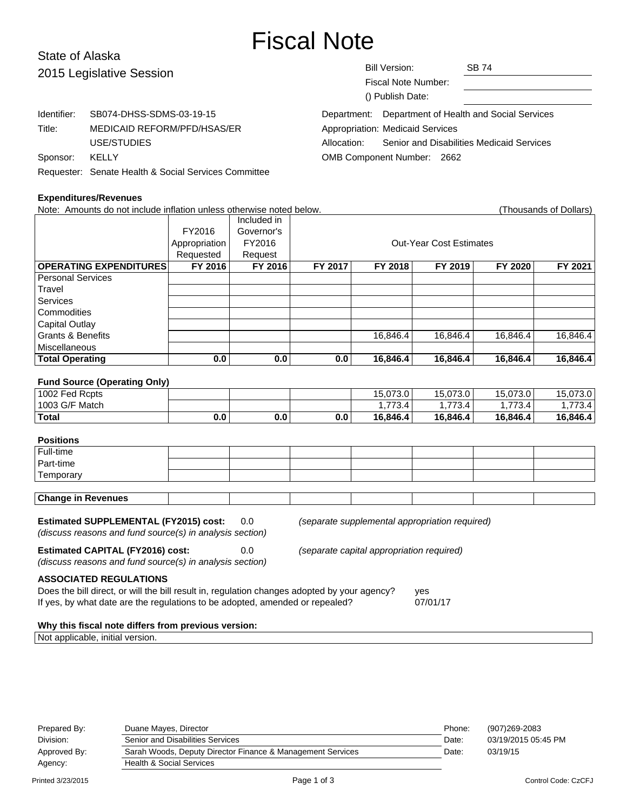# Fiscal Note

# State of Alaska  $201$

| 2015 Legislative Session |                                                      | <b>Bill Version:</b><br>Fiscal Note Number:<br>() Publish Date: |                                         | <b>SB 74</b>                                         |  |
|--------------------------|------------------------------------------------------|-----------------------------------------------------------------|-----------------------------------------|------------------------------------------------------|--|
| Identifier:              | SB074-DHSS-SDMS-03-19-15                             |                                                                 |                                         | Department: Department of Health and Social Services |  |
| Title:                   | MEDICAID REFORM/PFD/HSAS/ER                          |                                                                 | <b>Appropriation: Medicaid Services</b> |                                                      |  |
|                          | USE/STUDIES                                          | Allocation:                                                     |                                         | Senior and Disabilities Medicaid Services            |  |
| Sponsor:                 | KELLY                                                | OMB Component Number: 2662                                      |                                         |                                                      |  |
|                          | Requester: Senate Health & Social Services Committee |                                                                 |                                         |                                                      |  |

#### **Expenditures/Revenues**

Note: Amounts do not include inflation unless otherwise noted below. Thousands of Dollars) (Thousands of Dollars) Included in FY2016 Governor's Appropriation FY2016 | Research Cut-Year Cost Estimates Requested Request **OPERATING EXPENDITURES FY 2016 FY 2016 FY 2017 FY 2018 FY 2019 FY 2020 FY 2021** Personal Services Travel **Services Commodities** Capital Outlay Grants & Benefits **16,846.4** 16,846.4 16,846.4 16,846.4 16,846.4 16,846.4 Miscellaneous **Total Operating 0.0 0.0 0.0 16,846.4 16,846.4 16,846.4 16,846.4 Fund Source (Operating Only)** 1002 Fed Rcpts 15,073.0 15,073.0 15,073.0 15,073.0 15,073.0 1003 G/F Match 1,773.4 1,773.4 1,773.4 1,773.4 1,773.4 **Total 0.0 0.0 0.0 16,846.4 16,846.4 16,846.4 16,846.4 Positions** Full-time Part-time **Temporary Change in Revenues Estimated SUPPLEMENTAL (FY2015) cost:** 0.0 (separate supplemental appropriation required) (discuss reasons and fund source(s) in analysis section) **Estimated CAPITAL (FY2016) cost:** 0.0 (separate capital appropriation required) (discuss reasons and fund source(s) in analysis section) **ASSOCIATED REGULATIONS** Does the bill direct, or will the bill result in, regulation changes adopted by your agency? yes If yes, by what date are the regulations to be adopted, amended or repealed? 07/01/17

#### **Why this fiscal note differs from previous version:**

Not applicable, initial version.

| Prepared By: | Duane Mayes, Director                                      | Phone: | (907)269-2083       |
|--------------|------------------------------------------------------------|--------|---------------------|
| Division:    | Senior and Disabilities Services                           | Date:  | 03/19/2015 05:45 PM |
| Approved By: | Sarah Woods, Deputy Director Finance & Management Services | Date:  | 03/19/15            |
| Agency:      | <b>Health &amp; Social Services</b>                        |        |                     |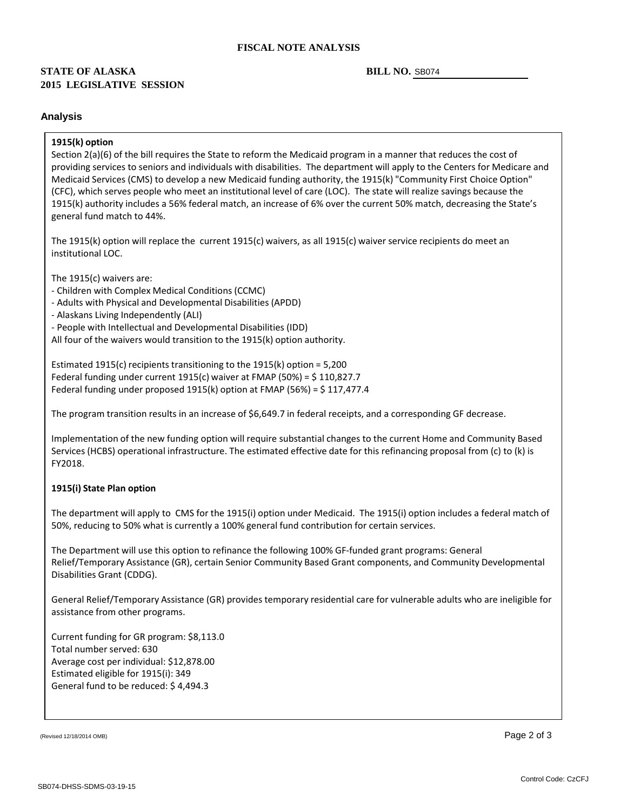#### **FISCAL NOTE ANALYSIS**

### **2015 LEGISLATIVE SESSION STATE OF ALASKA**

#### BILL NO. SB074

#### **Analysis**

#### **1915(k) option**

Section 2(a)(6) of the bill requires the State to reform the Medicaid program in a manner that reduces the cost of providing services to seniors and individuals with disabilities. The department will apply to the Centers for Medicare and Medicaid Services (CMS) to develop a new Medicaid funding authority, the 1915(k) "Community First Choice Option" (CFC), which serves people who meet an institutional level of care (LOC). The state will realize savings because the 1915(k) authority includes a 56% federal match, an increase of 6% over the current 50% match, decreasing the State's general fund match to 44%.

The 1915(k) option will replace the current 1915(c) waivers, as all 1915(c) waiver service recipients do meet an institutional LOC.

The 1915(c) waivers are:

- 
- Children with Complex Medical Conditions (CCMC) Adults with Physical and Developmental Disabilities (APDD) Alaskans Living Independently (ALI) People with Intellectual and Developmental Disabilities (IDD)
- 
- 

All four of the waivers would transition to the 1915(k) option authority.

Estimated 1915(c) recipients transitioning to the 1915(k) option = 5,200 Federal funding under current 1915(c) waiver at FMAP (50%) = \$ 110,827.7 Federal funding under proposed 1915(k) option at FMAP (56%) =  $$117,477.4$ 

The program transition results in an increase of \$6,649.7 in federal receipts, and a corresponding GF decrease.

Implementation of the new funding option will require substantial changes to the current Home and Community Based Services (HCBS) operational infrastructure. The estimated effective date for this refinancing proposal from (c) to (k) is FY2018.

#### **1915(i) State Plan option**

The department will apply to CMS for the 1915(i) option under Medicaid. The 1915(i) option includes a federal match of 50%, reducing to 50% what is currently a 100% general fund contribution for certain services.

The Department will use this option to refinance the following 100% GF -funded grant programs: General Relief/Temporary Assistance (GR), certain Senior Community Based Grant components, and Community Developmental Disabilities Grant (CDDG).

General Relief/Temporary Assistance (GR) provides temporary residential care for vulnerable adults who are ineligible for assistance from other programs.

Current funding for GR program: \$8,113.0 Total number served: 630 Average cost per individual: \$12,878.00 Estimated eligible for 1915(i): 349 General fund to be reduced: \$ 4,494.3

(Revised 12/18/2014 OMB)  $\overline{\phantom{a}}$  Page 2 of 3